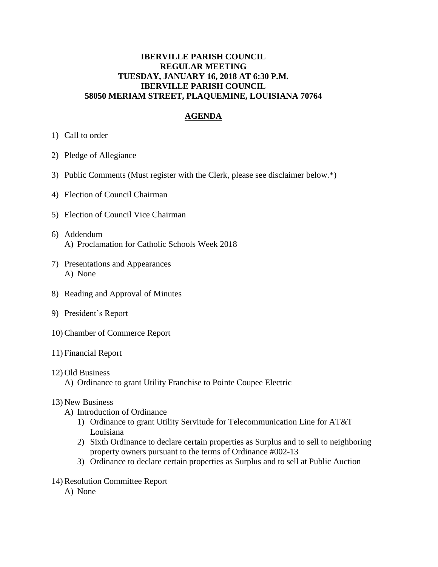## **IBERVILLE PARISH COUNCIL REGULAR MEETING TUESDAY, JANUARY 16, 2018 AT 6:30 P.M. IBERVILLE PARISH COUNCIL 58050 MERIAM STREET, PLAQUEMINE, LOUISIANA 70764**

## **AGENDA**

- 1) Call to order
- 2) Pledge of Allegiance
- 3) Public Comments (Must register with the Clerk, please see disclaimer below.\*)
- 4) Election of Council Chairman
- 5) Election of Council Vice Chairman
- 6) Addendum A) Proclamation for Catholic Schools Week 2018
- 7) Presentations and Appearances A) None
- 8) Reading and Approval of Minutes
- 9) President's Report
- 10) Chamber of Commerce Report
- 11) Financial Report
- 12) Old Business
	- A) Ordinance to grant Utility Franchise to Pointe Coupee Electric
- 13) New Business
	- A) Introduction of Ordinance
		- 1) Ordinance to grant Utility Servitude for Telecommunication Line for AT&T Louisiana
		- 2) Sixth Ordinance to declare certain properties as Surplus and to sell to neighboring property owners pursuant to the terms of Ordinance #002-13
		- 3) Ordinance to declare certain properties as Surplus and to sell at Public Auction
- 14) Resolution Committee Report
	- A) None